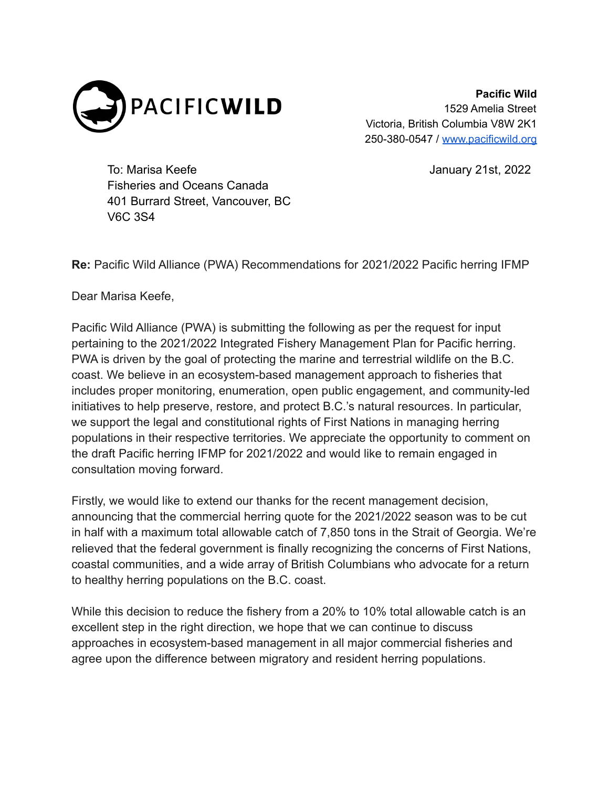

**Pacific Wild** 1529 Amelia Street Victoria, British Columbia V8W 2K1 250-380-0547 / [www.pacificwild.org](http://www.pacificwild.org)

To: Marisa Keefe January 21st, 2022 Fisheries and Oceans Canada 401 Burrard Street, Vancouver, BC V6C 3S4

**Re:** Pacific Wild Alliance (PWA) Recommendations for 2021/2022 Pacific herring IFMP

Dear Marisa Keefe,

Pacific Wild Alliance (PWA) is submitting the following as per the request for input pertaining to the 2021/2022 Integrated Fishery Management Plan for Pacific herring. PWA is driven by the goal of protecting the marine and terrestrial wildlife on the B.C. coast. We believe in an ecosystem-based management approach to fisheries that includes proper monitoring, enumeration, open public engagement, and community-led initiatives to help preserve, restore, and protect B.C.'s natural resources. In particular, we support the legal and constitutional rights of First Nations in managing herring populations in their respective territories. We appreciate the opportunity to comment on the draft Pacific herring IFMP for 2021/2022 and would like to remain engaged in consultation moving forward.

Firstly, we would like to extend our thanks for the recent management decision, announcing that the commercial herring quote for the 2021/2022 season was to be cut in half with a maximum total allowable catch of 7,850 tons in the Strait of Georgia. We're relieved that the federal government is finally recognizing the concerns of First Nations, coastal communities, and a wide array of British Columbians who advocate for a return to healthy herring populations on the B.C. coast.

While this decision to reduce the fishery from a 20% to 10% total allowable catch is an excellent step in the right direction, we hope that we can continue to discuss approaches in ecosystem-based management in all major commercial fisheries and agree upon the difference between migratory and resident herring populations.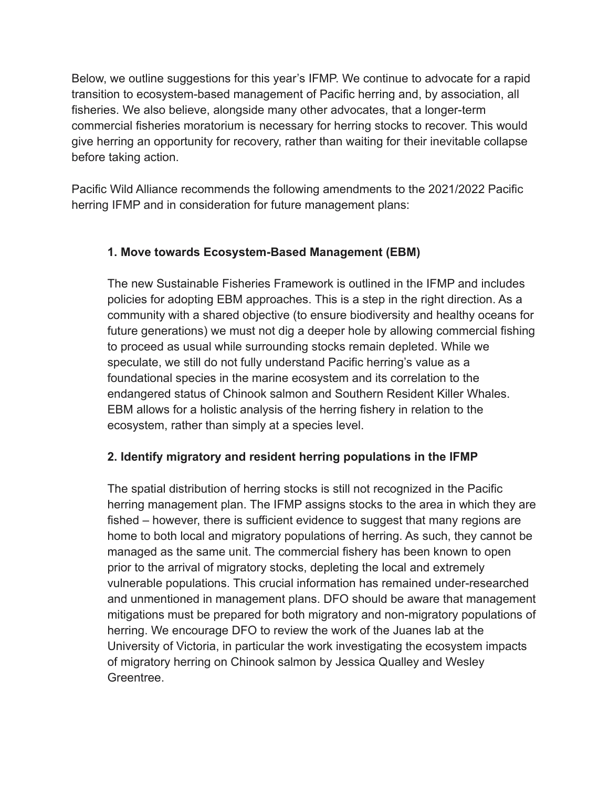Below, we outline suggestions for this year's IFMP. We continue to advocate for a rapid transition to ecosystem-based management of Pacific herring and, by association, all fisheries. We also believe, alongside many other advocates, that a longer-term commercial fisheries moratorium is necessary for herring stocks to recover. This would give herring an opportunity for recovery, rather than waiting for their inevitable collapse before taking action.

Pacific Wild Alliance recommends the following amendments to the 2021/2022 Pacific herring IFMP and in consideration for future management plans:

## **1. Move towards Ecosystem-Based Management (EBM)**

The new Sustainable Fisheries Framework is outlined in the IFMP and includes policies for adopting EBM approaches. This is a step in the right direction. As a community with a shared objective (to ensure biodiversity and healthy oceans for future generations) we must not dig a deeper hole by allowing commercial fishing to proceed as usual while surrounding stocks remain depleted. While we speculate, we still do not fully understand Pacific herring's value as a foundational species in the marine ecosystem and its correlation to the endangered status of Chinook salmon and Southern Resident Killer Whales. EBM allows for a holistic analysis of the herring fishery in relation to the ecosystem, rather than simply at a species level.

# **2. Identify migratory and resident herring populations in the IFMP**

The spatial distribution of herring stocks is still not recognized in the Pacific herring management plan. The IFMP assigns stocks to the area in which they are fished – however, there is sufficient evidence to suggest that many regions are home to both local and migratory populations of herring. As such, they cannot be managed as the same unit. The commercial fishery has been known to open prior to the arrival of migratory stocks, depleting the local and extremely vulnerable populations. This crucial information has remained under-researched and unmentioned in management plans. DFO should be aware that management mitigations must be prepared for both migratory and non-migratory populations of herring. We encourage DFO to review the work of the Juanes lab at the University of Victoria, in particular the work investigating the ecosystem impacts of migratory herring on Chinook salmon by Jessica Qualley and Wesley Greentree.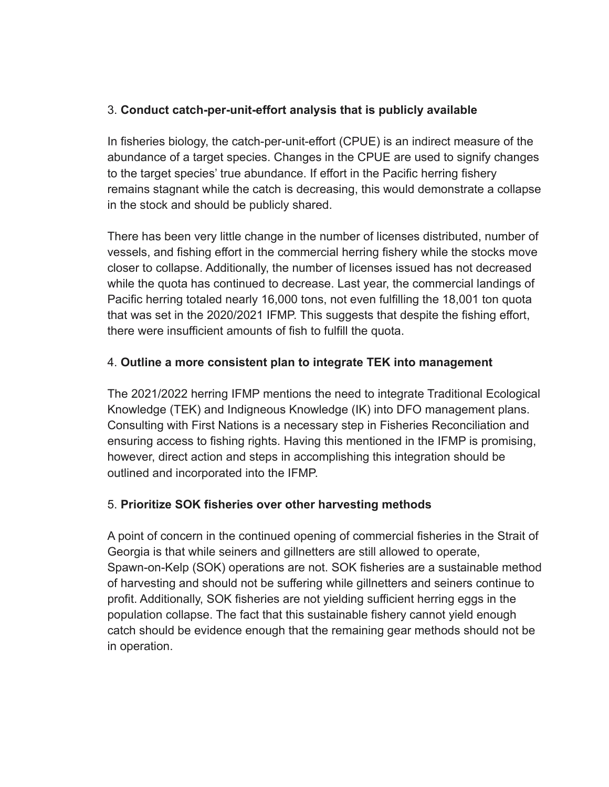## 3. **Conduct catch-per-unit-effort analysis that is publicly available**

In fisheries biology, the catch-per-unit-effort (CPUE) is an indirect measure of the abundance of a target species. Changes in the CPUE are used to signify changes to the target species' true abundance. If effort in the Pacific herring fishery remains stagnant while the catch is decreasing, this would demonstrate a collapse in the stock and should be publicly shared.

There has been very little change in the number of licenses distributed, number of vessels, and fishing effort in the commercial herring fishery while the stocks move closer to collapse. Additionally, the number of licenses issued has not decreased while the quota has continued to decrease. Last year, the commercial landings of Pacific herring totaled nearly 16,000 tons, not even fulfilling the 18,001 ton quota that was set in the 2020/2021 IFMP. This suggests that despite the fishing effort, there were insufficient amounts of fish to fulfill the quota.

## 4. **Outline a more consistent plan to integrate TEK into management**

The 2021/2022 herring IFMP mentions the need to integrate Traditional Ecological Knowledge (TEK) and Indigneous Knowledge (IK) into DFO management plans. Consulting with First Nations is a necessary step in Fisheries Reconciliation and ensuring access to fishing rights. Having this mentioned in the IFMP is promising, however, direct action and steps in accomplishing this integration should be outlined and incorporated into the IFMP.

# 5. **Prioritize SOK fisheries over other harvesting methods**

A point of concern in the continued opening of commercial fisheries in the Strait of Georgia is that while seiners and gillnetters are still allowed to operate, Spawn-on-Kelp (SOK) operations are not. SOK fisheries are a sustainable method of harvesting and should not be suffering while gillnetters and seiners continue to profit. Additionally, SOK fisheries are not yielding sufficient herring eggs in the population collapse. The fact that this sustainable fishery cannot yield enough catch should be evidence enough that the remaining gear methods should not be in operation.